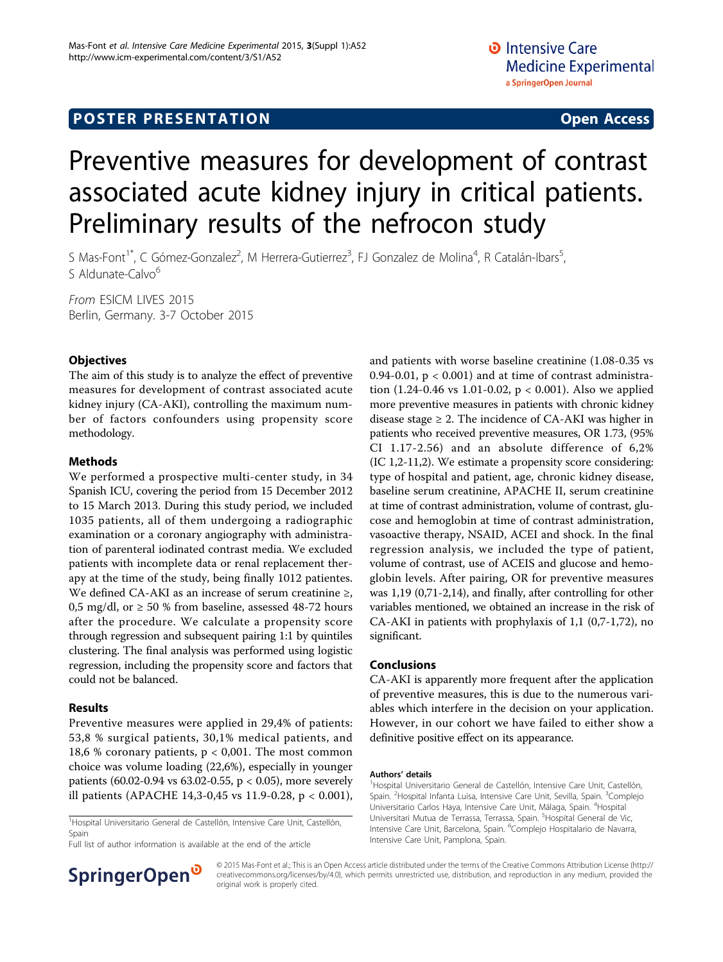# Preventive measures for development of contrast associated acute kidney injury in critical patients. Preliminary results of the nefrocon study

S Mas-Font<sup>1\*</sup>, C Gómez-Gonzalez<sup>2</sup>, M Herrera-Gutierrez<sup>3</sup>, FJ Gonzalez de Molina<sup>4</sup>, R Catalán-Ibars<sup>5</sup> , S Aldunate-Calvo<sup>6</sup>

From ESICM LIVES 2015 Berlin, Germany. 3-7 October 2015

### **Objectives**

The aim of this study is to analyze the effect of preventive measures for development of contrast associated acute kidney injury (CA-AKI), controlling the maximum number of factors confounders using propensity score methodology.

#### Methods

We performed a prospective multi-center study, in 34 Spanish ICU, covering the period from 15 December 2012 to 15 March 2013. During this study period, we included 1035 patients, all of them undergoing a radiographic examination or a coronary angiography with administration of parenteral iodinated contrast media. We excluded patients with incomplete data or renal replacement therapy at the time of the study, being finally 1012 patientes. We defined CA-AKI as an increase of serum creatinine ≥, 0,5 mg/dl, or  $\geq$  50 % from baseline, assessed 48-72 hours after the procedure. We calculate a propensity score through regression and subsequent pairing 1:1 by quintiles clustering. The final analysis was performed using logistic regression, including the propensity score and factors that could not be balanced.

### Results

Preventive measures were applied in 29,4% of patients: 53,8 % surgical patients, 30,1% medical patients, and 18,6 % coronary patients,  $p < 0,001$ . The most common choice was volume loading (22,6%), especially in younger patients (60.02-0.94 vs 63.02-0.55, p < 0.05), more severely ill patients (APACHE 14,3-0,45 vs 11.9-0.28, p < 0.001),

<sup>1</sup>Hospital Universitario General de Castellón, Intensive Care Unit, Castellón, Spain

Full list of author information is available at the end of the article



#### Conclusions

CA-AKI is apparently more frequent after the application of preventive measures, this is due to the numerous variables which interfere in the decision on your application. However, in our cohort we have failed to either show a definitive positive effect on its appearance.

#### Authors' details <sup>1</sup>

<sup>1</sup>Hospital Universitario General de Castellón, Intensive Care Unit, Castellón, Spain. <sup>2</sup>Hospital Infanta Luisa, Intensive Care Unit, Sevilla, Spain. <sup>3</sup>Complejc Universitario Carlos Haya, Intensive Care Unit, Málaga, Spain. <sup>4</sup>Hospital Universitari Mutua de Terrassa, Terrassa, Spain. <sup>5</sup>Hospital General de Vic Intensive Care Unit, Barcelona, Spain. <sup>6</sup>Complejo Hospitalario de Navarra Intensive Care Unit, Pamplona, Spain.



© 2015 Mas-Font et al.; This is an Open Access article distributed under the terms of the Creative Commons Attribution License [\(http://](http://creativecommons.org/licenses/by/4.0) [creativecommons.org/licenses/by/4.0](http://creativecommons.org/licenses/by/4.0)), which permits unrestricted use, distribution, and reproduction in any medium, provided the original work is properly cited.